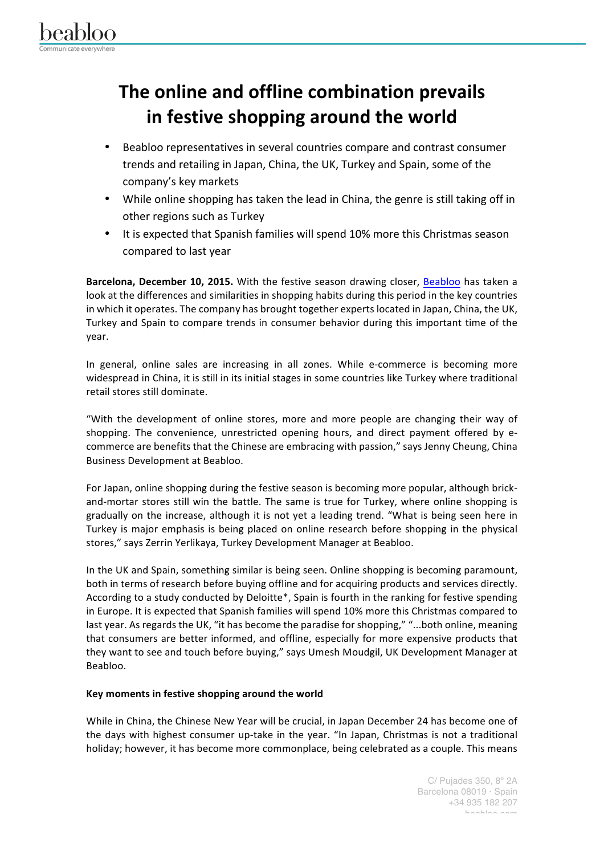

## **The online and offline combination prevails in festive shopping around the world**

- Beabloo representatives in several countries compare and contrast consumer trends and retailing in Japan, China, the UK, Turkey and Spain, some of the company's key markets
- While online shopping has taken the lead in China, the genre is still taking off in other regions such as Turkey
- It is expected that Spanish families will spend 10% more this Christmas season compared to last year

Barcelona, December 10, 2015. With the festive season drawing closer, Beabloo has taken a look at the differences and similarities in shopping habits during this period in the key countries in which it operates. The company has brought together experts located in Japan, China, the UK, Turkey and Spain to compare trends in consumer behavior during this important time of the year. 

In general, online sales are increasing in all zones. While e-commerce is becoming more widespread in China, it is still in its initial stages in some countries like Turkey where traditional retail stores still dominate.

"With the development of online stores, more and more people are changing their way of shopping. The convenience, unrestricted opening hours, and direct payment offered by ecommerce are benefits that the Chinese are embracing with passion," says Jenny Cheung, China Business Development at Beabloo.

For Japan, online shopping during the festive season is becoming more popular, although brickand-mortar stores still win the battle. The same is true for Turkey, where online shopping is gradually on the increase, although it is not yet a leading trend. "What is being seen here in Turkey is major emphasis is being placed on online research before shopping in the physical stores," says Zerrin Yerlikaya, Turkey Development Manager at Beabloo.

In the UK and Spain, something similar is being seen. Online shopping is becoming paramount, both in terms of research before buying offline and for acquiring products and services directly. According to a study conducted by Deloitte\*, Spain is fourth in the ranking for festive spending in Europe. It is expected that Spanish families will spend 10% more this Christmas compared to last year. As regards the UK, "it has become the paradise for shopping," "...both online, meaning that consumers are better informed, and offline, especially for more expensive products that they want to see and touch before buying," says Umesh Moudgil, UK Development Manager at Beabloo.

## Key moments in festive shopping around the world

While in China, the Chinese New Year will be crucial, in Japan December 24 has become one of the days with highest consumer up-take in the year. "In Japan, Christmas is not a traditional holiday; however, it has become more commonplace, being celebrated as a couple. This means